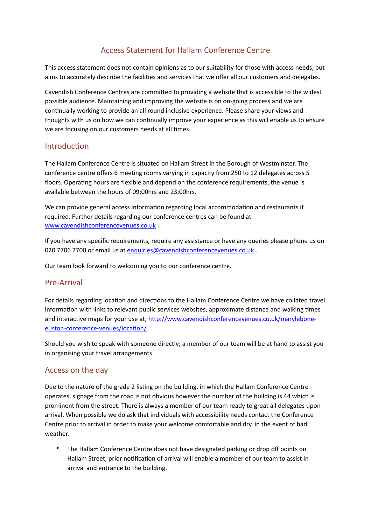# Access Statement for Hallam Conference Centre

This access statement does not contain opinions as to our suitability for those with access needs, but aims to accurately describe the facilities and services that we offer all our customers and delegates.

Cavendish Conference Centres are committed to providing a website that is accessible to the widest possible audience. Maintaining and improving the website is on on-going process and we are continually working to provide an all round inclusive experience. Please share your views and thoughts with us on how we can continually improve your experience as this will enable us to ensure we are focusing on our customers needs at all times.

### Introduction

The Hallam Conference Centre is situated on Hallam Street in the Borough of Westminster. The conference centre offers 6 meeting rooms varying in capacity from 250 to 12 delegates across 5 floors. Operating hours are flexible and depend on the conference requirements, the venue is available between the hours of 09:00hrs and 23:00hrs.

We can provide general access information regarding local accommodation and restaurants if required. Further details regarding our conference centres can be found at www.cavendishconferencevenues.co.uk.

If you have any specific requirements, require any assistance or have any queries please phone us on 020 7706 7700 or email us at [enquiries@cavendishconferencevenues.co.uk](mailto:enquiries@cavendishconferencevenues.co.uk).

Our team look forward to welcoming you to our conference centre.

### Pre-Arrival

For details regarding location and directions to the Hallam Conference Centre we have collated travel information with links to relevant public services websites, approximate distance and walking times and interactive maps for your use at; http://www.cavendishconferencevenues.co.uk/maryleboneeuston-conference-venues/location/

Should you wish to speak with someone directly; a member of our team will be at hand to assist you in organising your travel arrangements.

### Access on the day

Due to the nature of the grade 2 listing on the building, in which the Hallam Conference Centre operates, signage from the road is not obvious however the number of the building is 44 which is prominent from the street. There is always a member of our team ready to great all delegates upon arrival. When possible we do ask that individuals with accessibility needs contact the Conference Centre prior to arrival in order to make your welcome comfortable and dry, in the event of bad weather.

The Hallam Conference Centre does not have designated parking or drop off points on Hallam Street, prior notification of arrival will enable a member of our team to assist in arrival and entrance to the building.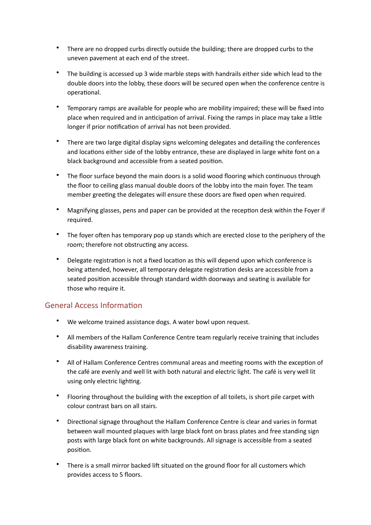- There are no dropped curbs directly outside the building; there are dropped curbs to the uneven pavement at each end of the street.
- The building is accessed up 3 wide marble steps with handrails either side which lead to the double doors into the lobby, these doors will be secured open when the conference centre is operational.
- Temporary ramps are available for people who are mobility impaired; these will be fixed into place when required and in anticipation of arrival. Fixing the ramps in place may take a little longer if prior notification of arrival has not been provided.
- There are two large digital display signs welcoming delegates and detailing the conferences and locations either side of the lobby entrance, these are displayed in large white font on a black background and accessible from a seated position.
- The floor surface beyond the main doors is a solid wood flooring which continuous through the floor to ceiling glass manual double doors of the lobby into the main foyer. The team member greeting the delegates will ensure these doors are fixed open when required.
- Magnifying glasses, pens and paper can be provided at the reception desk within the Foyer if required.
- The foyer often has temporary pop up stands which are erected close to the periphery of the room; therefore not obstructing any access.
- Delegate registration is not a fixed location as this will depend upon which conference is being attended, however, all temporary delegate registration desks are accessible from a seated position accessible through standard width doorways and seating is available for those who require it.

## General Access Information

- We welcome trained assistance dogs. A water bowl upon request.
- All members of the Hallam Conference Centre team regularly receive training that includes disability awareness training.
- All of Hallam Conference Centres communal areas and meeting rooms with the exception of the café are evenly and well lit with both natural and electric light. The café is very well lit using only electric lighting.
- Flooring throughout the building with the exception of all toilets, is short pile carpet with colour contrast bars on all stairs.
- Directional signage throughout the Hallam Conference Centre is clear and varies in format between wall mounted plaques with large black font on brass plates and free standing sign posts with large black font on white backgrounds. All signage is accessible from a seated position.
- There is a small mirror backed lift situated on the ground floor for all customers which provides access to 5 floors.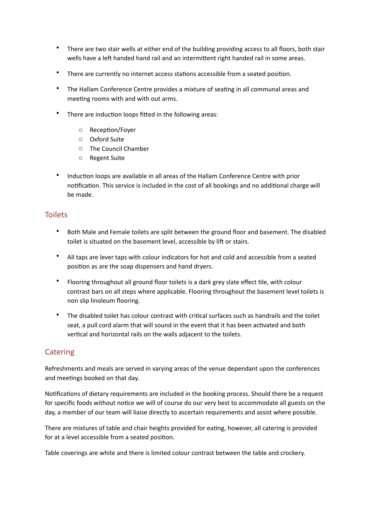- There are two stair wells at either end of the building providing access to all floors, both stair wells have a left handed hand rail and an intermittent right handed rail in some areas.
- There are currently no internet access stations accessible from a seated position.
- The Hallam Conference Centre provides a mixture of seating in all communal areas and meeting rooms with and with out arms.
- There are induction loops fitted in the following areas:
	- o Reception/Foyer
	- o Oxford Suite
	- $\circ$  The Council Chamber
	- o Regent Suite
- Induction loops are available in all areas of the Hallam Conference Centre with prior notification. This service is included in the cost of all bookings and no additional charge will be made.

## **Toilets**

- Both Male and Female toilets are split between the ground floor and basement. The disabled toilet is situated on the basement level, accessible by lift or stairs.
- All taps are lever taps with colour indicators for hot and cold and accessible from a seated position as are the soap dispensers and hand dryers.
- Flooring throughout all ground floor toilets is a dark grey slate effect tile, with colour contrast bars on all steps where applicable. Flooring throughout the basement level toilets is non slip linoleum flooring.
- The disabled toilet has colour contrast with critical surfaces such as handrails and the toilet seat, a pull cord alarm that will sound in the event that it has been activated and both vertical and horizontal rails on the walls adjacent to the toilets.

## **Catering**

Refreshments and meals are served in varying areas of the venue dependant upon the conferences and meetings booked on that day.

Notifications of dietary requirements are included in the booking process. Should there be a request for specific foods without notice we will of course do our very best to accommodate all guests on the day, a member of our team will liaise directly to ascertain requirements and assist where possible.

There are mixtures of table and chair heights provided for eating, however, all catering is provided for at a level accessible from a seated position.

Table coverings are white and there is limited colour contrast between the table and crockery.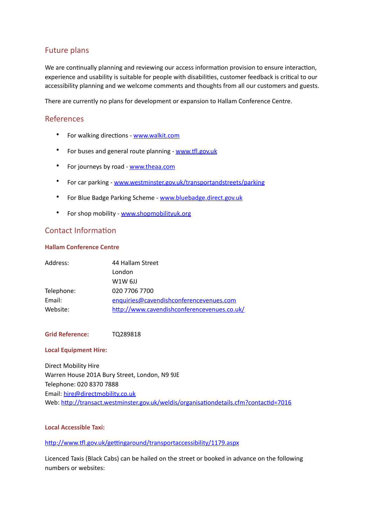## **Future plans**

We are continually planning and reviewing our access information provision to ensure interaction, experience and usability is suitable for people with disabilities, customer feedback is critical to our accessibility planning and we welcome comments and thoughts from all our customers and guests.

There are currently no plans for development or expansion to Hallam Conference Centre.

## References

- For walking directions [www.walkit.com](http://www.walkit.com)
- For buses and general route planning www.tfl.gov.uk
- For journeys by road [www.theaa.com](http://www.theaa.com)
- For car parking [www.westminster.gov.uk/transportandstreets/parking](http://www.westminster.gov.uk/transportandstreets/parking)
- For Blue Badge Parking Scheme www.bluebadge.direct.gov.uk
- For shop mobility www.shopmobilityuk.org

## Contact Information

### **Hallam Conference Centre**

| Address:   | 44 Hallam Street                            |
|------------|---------------------------------------------|
|            | London                                      |
|            | $W1W$ 6JJ                                   |
| Telephone: | 020 7706 7700                               |
| Email:     | enquiries@cavendishconferencevenues.com     |
| Website:   | http://www.cavendishconferencevenues.co.uk/ |

### Grid Reference: TQ289818

#### **Local Equipment Hire:**

Direct Mobility Hire Warren House 201A Bury Street, London, N9 9JE Telephone: 020 8370 7888 Email: [hire@directmobility.co.uk](mailto:hire@directmobility.co.uk) Web: http://transact.westminster.gov.uk/weldis/organisationdetails.cfm?contactid=7016

### **Local Accessible Taxi:**

http://www.tfl.gov.uk/gettingaround/transportaccessibility/1179.aspx

Licenced Taxis (Black Cabs) can be hailed on the street or booked in advance on the following numbers or websites: